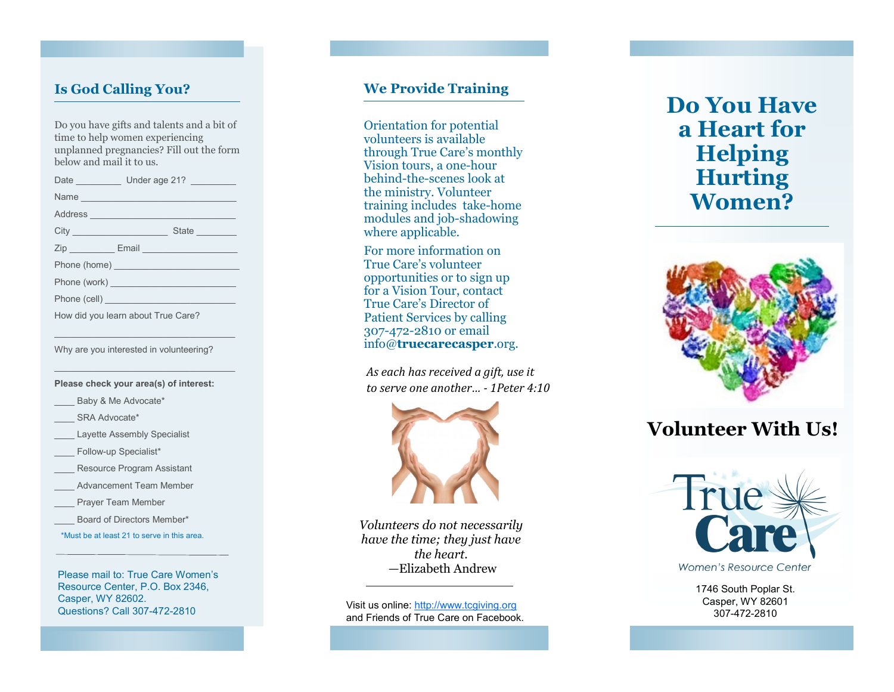## **Is God Calling You?**

Do you have gifts and talents and a bit of time to help women experiencing unplanned pregnancies? Fill out the form below and mail it to us.

Date **Date** Under age 21?  $Name$ Address \_\_\_\_\_\_\_\_\_\_\_\_\_\_\_\_\_\_\_\_\_\_\_\_\_\_\_\_\_ City \_\_\_\_\_\_\_\_\_\_\_\_\_\_\_\_\_\_\_ State \_\_\_\_\_\_\_\_ Zip **Email Email Email** Phone (home) \_\_\_\_\_\_\_\_\_\_\_\_\_\_\_\_\_\_\_\_\_\_\_\_\_ Phone (work) \_\_\_\_\_\_\_\_\_\_\_\_\_\_\_\_\_\_\_\_\_\_\_\_\_ Phone (cell) How did you learn about True Care?

Why are you interested in volunteering?

 $\mathcal{L}_\text{max}$  and  $\mathcal{L}_\text{max}$  and  $\mathcal{L}_\text{max}$  and  $\mathcal{L}_\text{max}$ 

 $\mathcal{L}_\text{max}$  and  $\mathcal{L}_\text{max}$  and  $\mathcal{L}_\text{max}$  and  $\mathcal{L}_\text{max}$ 

#### **Please check your area(s) of interest:**

- Baby & Me Advocate\*
- SRA Advocate\*
- Layette Assembly Specialist
- \_\_\_\_ Follow -up Specialist\*
- Resource Program Assistant
- Advancement Team Member
- Prayer Team Member
- Board of Directors Member\*

\*Must be at least 21 to serve in this area.

Please mail to: True Care Women 's Resource Center, P.O. Box 2346, Casper, WY 82602. Questions? Call 307 -472

## **We Provide Training**

Orientation for potential volunteers is available through True Care 's monthly Vision tours, a one -hour behind -the -scenes look at the ministry. Volunteer training includes take -home modules and job -shadowing where applicable.

For more information on True Care 's volunteer opportunities or to sign up for a Vision Tour, contact True Care 's Director of Patient Services by calling 307 -472 -2810 or email info@**truecarecasper**.org.

*As each has received a gift, use it to serve one another… - 1Peter 4:10*



*Volunteers do not necessarily have the time; they just have the heart. —*Elizabeth Andrew

Visit us online: [http://www.tcgiving.org](https://www.tccgiving.org) and Friends of True Care on Facebook.

# **Do You Have a Heart for Helping Hurting Women?**



## **Volunteer With Us!**



Women's Resource Center

1746 South Poplar St. Casper, WY 82601 307 -472 -2810